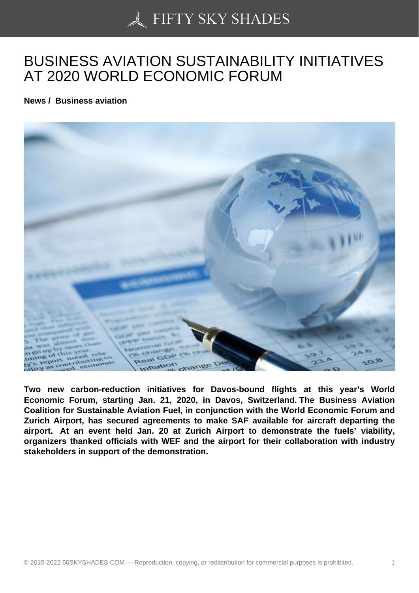## [BUSINESS AVIATION](https://50skyshades.com) SUSTAINABILITY INITIATIVES AT 2020 WORLD ECONOMIC FORUM

News / Business aviation

Two new carbon-reduction initiatives for Davos-bound flights at this year's World Economic Forum, starting Jan. 21, 2020, in Davos, Switzerland. The Business Aviation Coalition for Sustainable Aviation Fuel, in conjunction with the World Economic Forum and Zurich Airport, has secured agreements to make SAF available for aircraft departing the airport. At an event held Jan. 20 at Zurich Airport to demonstrate the fuels' viability, organizers thanked officials with WEF and the airport for their collaboration with industry stakeholders in support of the demonstration.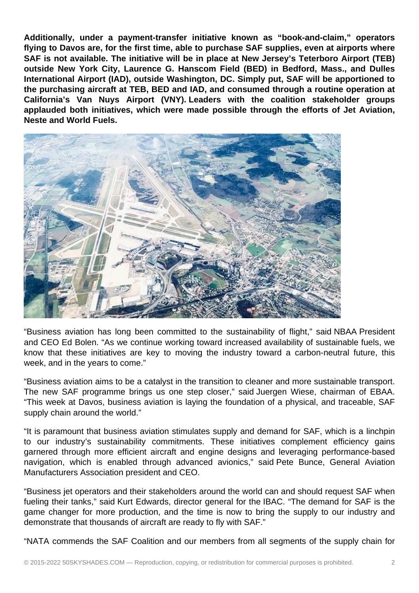**Additionally, under a payment-transfer initiative known as "book-and-claim," operators flying to Davos are, for the first time, able to purchase SAF supplies, even at airports where SAF is not available. The initiative will be in place at New Jersey's Teterboro Airport (TEB) outside New York City, Laurence G. Hanscom Field (BED) in Bedford, Mass., and Dulles International Airport (IAD), outside Washington, DC. Simply put, SAF will be apportioned to the purchasing aircraft at TEB, BED and IAD, and consumed through a routine operation at California's Van Nuys Airport (VNY). Leaders with the coalition stakeholder groups applauded both initiatives, which were made possible through the efforts of Jet Aviation, Neste and World Fuels.** 



"Business aviation has long been committed to the sustainability of flight," said NBAA President and CEO Ed Bolen. "As we continue working toward increased availability of sustainable fuels, we know that these initiatives are key to moving the industry toward a carbon-neutral future, this week, and in the years to come."

"Business aviation aims to be a catalyst in the transition to cleaner and more sustainable transport. The new SAF programme brings us one step closer," said Juergen Wiese, chairman of EBAA. "This week at Davos, business aviation is laying the foundation of a physical, and traceable, SAF supply chain around the world."

"It is paramount that business aviation stimulates supply and demand for SAF, which is a linchpin to our industry's sustainability commitments. These initiatives complement efficiency gains garnered through more efficient aircraft and engine designs and leveraging performance-based navigation, which is enabled through advanced avionics," said Pete Bunce, General Aviation Manufacturers Association president and CEO.

"Business jet operators and their stakeholders around the world can and should request SAF when fueling their tanks," said Kurt Edwards, director general for the IBAC. "The demand for SAF is the game changer for more production, and the time is now to bring the supply to our industry and demonstrate that thousands of aircraft are ready to fly with SAF."

"NATA commends the SAF Coalition and our members from all segments of the supply chain for